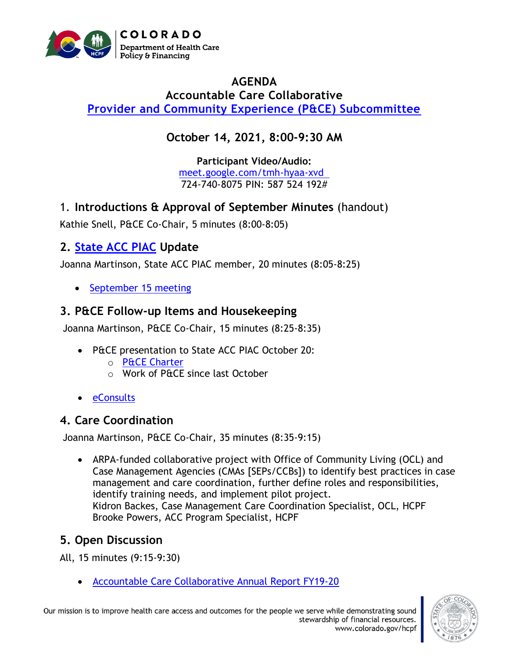

### **AGENDA Accountable Care Collaborative [Provider and Community Experience \(P&CE\) Subcommittee](https://hcpf.colorado.gov/provider-and-community-experience-subcommittee)**

# **October 14, 2021, 8:00-9:30 AM**

**Participant Video/Audio:** [meet.google.com/tmh-hyaa-xvd](http://meet.google.com/tmh-hyaa-xvd)  724-740-8075 PIN: 587 524 192#

1. **Introductions & Approval of September Minutes** (handout)

Kathie Snell, P&CE Co-Chair, 5 minutes (8:00-8:05)

## **2. [State ACC PIAC](https://www.colorado.gov/pacific/hcpf/accountable-care-collaborative-program-improvement-advisory-committee) Update**

Joanna Martinson, State ACC PIAC member, 20 minutes (8:05-8:25)

• [September](https://hcpf.colorado.gov/sites/hcpf/files/Accountable%20Care%20Collaborative%20Program%20Improvement%20Advisory%20Committee%20ACC%20Priorities%20Engagement%20PowerPoint%20September%202021.pdf) 15 meeting

#### **3. P&CE Follow-up Items and Housekeeping**

Joanna Martinson, P&CE Co-Chair, 15 minutes (8:25-8:35)

- P&CE presentation to State ACC PIAC October 20:
	- o [P&CE Charter](https://hcpf.colorado.gov/sites/hcpf/files/Provider%20and%20Community%20Experience%20PIAC%20Subcommittee%20Draft%20Charter%20Updated%20September%202021.pdf)
	- o Work of P&CE since last October
- [eConsults](https://hcpf.colorado.gov/stakeholder-telemedicine)

#### **4. Care Coordination**

Joanna Martinson, P&CE Co-Chair, 35 minutes (8:35-9:15)

• ARPA-funded collaborative project with Office of Community Living (OCL) and Case Management Agencies (CMAs [SEPs/CCBs]) to identify best practices in case management and care coordination, further define roles and responsibilities, identify training needs, and implement pilot project. Kidron Backes, Case Management Care Coordination Specialist, OCL, HCPF Brooke Powers, ACC Program Specialist, HCPF

### **5. Open Discussion**

All, 15 minutes (9:15-9:30)

• [Accountable Care Collaborative Annual Report FY19-20](https://hcpf.colorado.gov/sites/hcpf/files/HCPF%20ACC%20Implementation%20Report%20FY19-20.pdf)